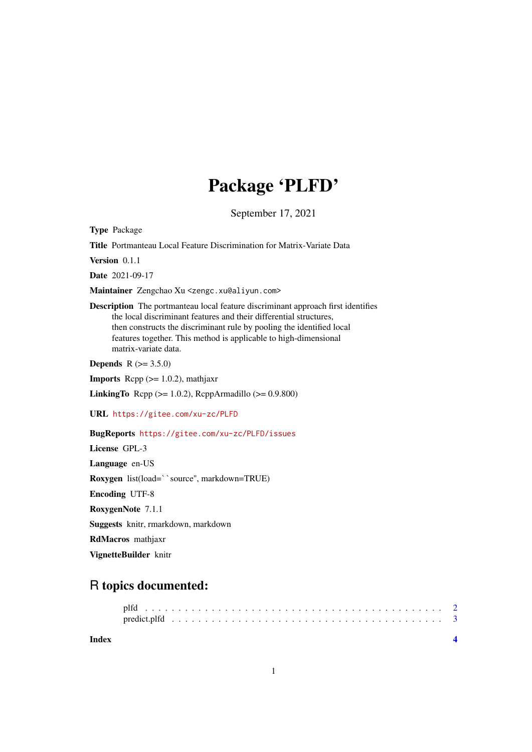# Package 'PLFD'

September 17, 2021

Type Package

Title Portmanteau Local Feature Discrimination for Matrix-Variate Data

Version 0.1.1

Date 2021-09-17

Maintainer Zengchao Xu <zengc.xu@aliyun.com>

Description The portmanteau local feature discriminant approach first identifies the local discriminant features and their differential structures, then constructs the discriminant rule by pooling the identified local features together. This method is applicable to high-dimensional matrix-variate data.

**Depends**  $R$  ( $>= 3.5.0$ )

**Imports** Rcpp  $(>= 1.0.2)$ , mathjaxr

**LinkingTo** Rcpp ( $>= 1.0.2$ ), RcppArmadillo ( $>= 0.9.800$ )

URL <https://gitee.com/xu-zc/PLFD>

BugReports <https://gitee.com/xu-zc/PLFD/issues>

License GPL-3 Language en-US Roxygen list(load=``source'', markdown=TRUE) Encoding UTF-8 RoxygenNote 7.1.1 Suggests knitr, rmarkdown, markdown RdMacros mathjaxr

VignetteBuilder knitr

## R topics documented:

| Index |  |  |  |  |  |  |  |  |  |  |  |  |  |  |  |  |  |  |  |  |
|-------|--|--|--|--|--|--|--|--|--|--|--|--|--|--|--|--|--|--|--|--|
|       |  |  |  |  |  |  |  |  |  |  |  |  |  |  |  |  |  |  |  |  |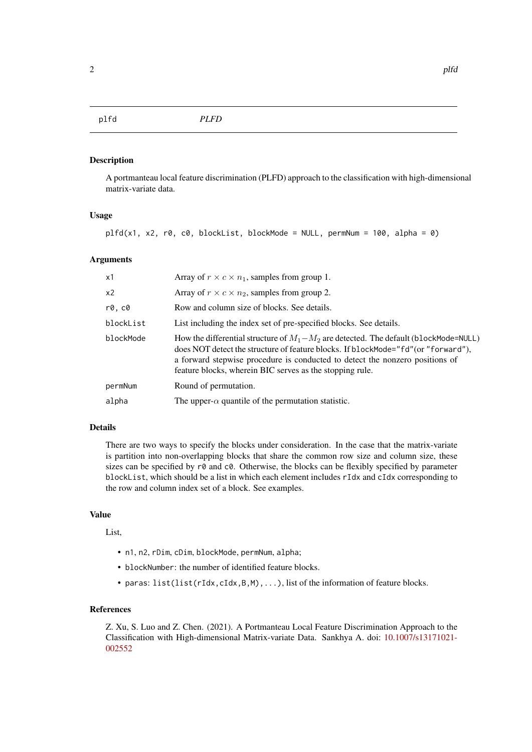#### <span id="page-1-0"></span>plfd *PLFD*

#### Description

A portmanteau local feature discrimination (PLFD) approach to the classification with high-dimensional matrix-variate data.

#### Usage

```
pIf d(x1, x2, r0, c0, blockList, blockMode = NULL, permNum = 100, alpha = 0)
```
#### Arguments

| x1             | Array of $r \times c \times n_1$ , samples from group 1.                                                                                                                                                                                                                                                                   |
|----------------|----------------------------------------------------------------------------------------------------------------------------------------------------------------------------------------------------------------------------------------------------------------------------------------------------------------------------|
| x <sub>2</sub> | Array of $r \times c \times n_2$ , samples from group 2.                                                                                                                                                                                                                                                                   |
| r0, c0         | Row and column size of blocks. See details.                                                                                                                                                                                                                                                                                |
| blockList      | List including the index set of pre-specified blocks. See details.                                                                                                                                                                                                                                                         |
| blockMode      | How the differential structure of $M_1 - M_2$ are detected. The default (blockMode=NULL)<br>does NOT detect the structure of feature blocks. If blockMode="fd" (or "forward"),<br>a forward stepwise procedure is conducted to detect the nonzero positions of<br>feature blocks, wherein BIC serves as the stopping rule. |
| permNum        | Round of permutation.                                                                                                                                                                                                                                                                                                      |
| alpha          | The upper- $\alpha$ quantile of the permutation statistic.                                                                                                                                                                                                                                                                 |

### Details

There are two ways to specify the blocks under consideration. In the case that the matrix-variate is partition into non-overlapping blocks that share the common row size and column size, these sizes can be specified by  $r\theta$  and  $c\theta$ . Otherwise, the blocks can be flexibly specified by parameter blockList, which should be a list in which each element includes rIdx and cIdx corresponding to the row and column index set of a block. See examples.

### Value

List,

- n1, n2, rDim, cDim, blockMode, permNum, alpha;
- blockNumber: the number of identified feature blocks.
- paras:  $list(list(rIdx, cIdx, B, M), ...)$ , list of the information of feature blocks.

#### References

Z. Xu, S. Luo and Z. Chen. (2021). A Portmanteau Local Feature Discrimination Approach to the Classification with High-dimensional Matrix-variate Data. Sankhya A. doi: [10.1007/s13171021-](https://doi.org/10.1007/s13171-021-00255-2) [002552](https://doi.org/10.1007/s13171-021-00255-2)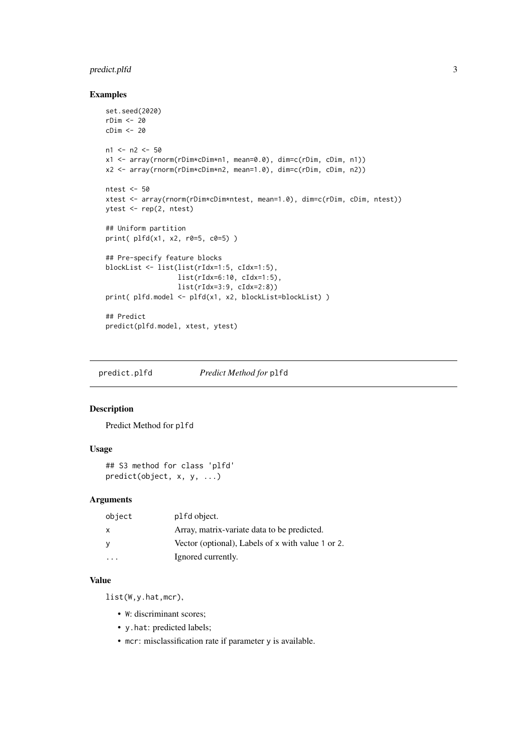#### <span id="page-2-0"></span>predict.plfd 3

#### Examples

```
set.seed(2020)
rDim <- 20
cDim <- 20
n1 <- n2 <- 50
x1 <- array(rnorm(rDim*cDim*n1, mean=0.0), dim=c(rDim, cDim, n1))
x2 <- array(rnorm(rDim*cDim*n2, mean=1.0), dim=c(rDim, cDim, n2))
ntest <- 50
xtest <- array(rnorm(rDim*cDim*ntest, mean=1.0), dim=c(rDim, cDim, ntest))
ytest <- rep(2, ntest)
## Uniform partition
print( plfd(x1, x2, r0=5, c0=5) )
## Pre-specify feature blocks
blockList <- list(list(rIdx=1:5, cIdx=1:5),
                  list(rIdx=6:10, cIdx=1:5),
                  list(rIdx=3:9, cIdx=2:8))
print( plfd.model <- plfd(x1, x2, blockList=blockList) )
## Predict
predict(plfd.model, xtest, ytest)
```
predict.plfd *Predict Method for* plfd

#### Description

Predict Method for plfd

#### Usage

```
## S3 method for class 'plfd'
predict(object, x, y, ...)
```
### Arguments

| object | plfd object.                                      |
|--------|---------------------------------------------------|
| x      | Array, matrix-variate data to be predicted.       |
| у      | Vector (optional), Labels of x with value 1 or 2. |
|        | Ignored currently.                                |

#### Value

list(W,y.hat,mcr),

- W: discriminant scores;
- y.hat: predicted labels;
- mcr: misclassification rate if parameter y is available.